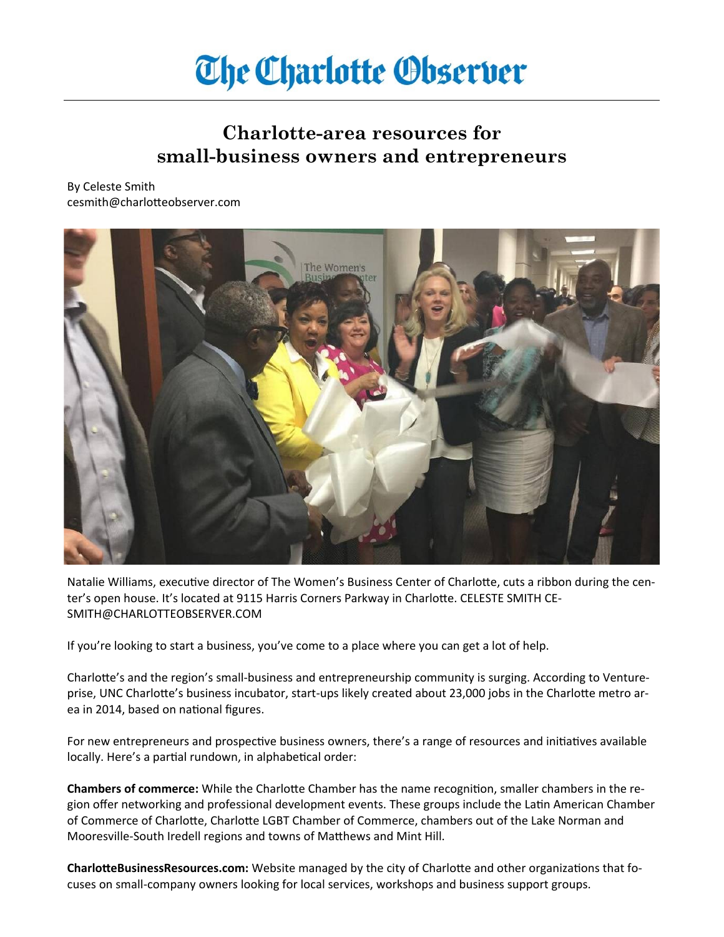# **The Charlotte Observer**

## **Charlotte-area resources for small-business owners and entrepreneurs**

### By Celeste Smith cesmith@charlotteobserver.com



Natalie Williams, executive director of The Women's Business Center of Charlotte, cuts a ribbon during the center's open house. It's located at 9115 Harris Corners Parkway in Charlotte. CELESTE SMITH CE-SMITH@CHARLOTTEOBSERVER.COM

If you're looking to start a business, you've come to a place where you can get a lot of help.

Charlotte's and the region's small-business and entrepreneurship community is surging. According to Ventureprise, UNC Charlotte's business incubator, start-ups likely created about 23,000 jobs in the Charlotte metro area in 2014, based on national figures.

For new entrepreneurs and prospective business owners, there's a range of resources and initiatives available locally. Here's a partial rundown, in alphabetical order:

**Chambers of commerce:** While the Charlotte Chamber has the name recognition, smaller chambers in the region offer networking and professional development events. These groups include the Latin American Chamber of Commerce of Charlotte, Charlotte LGBT Chamber of Commerce, chambers out of the Lake Norman and Mooresville-South Iredell regions and towns of Matthews and Mint Hill.

**CharlotteBusinessResources.com:** Website managed by the city of Charlotte and other organizations that focuses on small-company owners looking for local services, workshops and business support groups.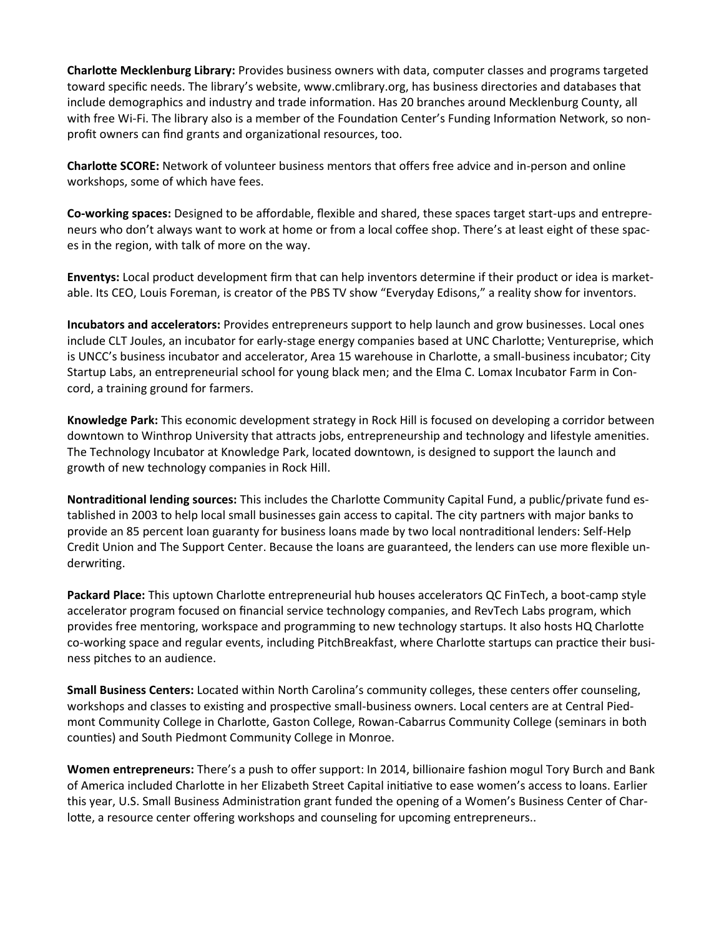**Charlotte Mecklenburg Library:** Provides business owners with data, computer classes and programs targeted toward specific needs. The library's website, www.cmlibrary.org, has business directories and databases that include demographics and industry and trade information. Has 20 branches around Mecklenburg County, all with free Wi-Fi. The library also is a member of the Foundation Center's Funding Information Network, so nonprofit owners can find grants and organizational resources, too.

**Charlotte SCORE:** Network of volunteer business mentors that offers free advice and in-person and online workshops, some of which have fees.

**Co-working spaces:** Designed to be affordable, flexible and shared, these spaces target start-ups and entrepreneurs who don't always want to work at home or from a local coffee shop. There's at least eight of these spaces in the region, with talk of more on the way.

**Enventys:** Local product development firm that can help inventors determine if their product or idea is marketable. Its CEO, Louis Foreman, is creator of the PBS TV show "Everyday Edisons," a reality show for inventors.

**Incubators and accelerators:** Provides entrepreneurs support to help launch and grow businesses. Local ones include CLT Joules, an incubator for early-stage energy companies based at UNC Charlotte; Ventureprise, which is UNCC's business incubator and accelerator, Area 15 warehouse in Charlotte, a small-business incubator; City Startup Labs, an entrepreneurial school for young black men; and the Elma C. Lomax Incubator Farm in Concord, a training ground for farmers.

**Knowledge Park:** This economic development strategy in Rock Hill is focused on developing a corridor between downtown to Winthrop University that attracts jobs, entrepreneurship and technology and lifestyle amenities. The Technology Incubator at Knowledge Park, located downtown, is designed to support the launch and growth of new technology companies in Rock Hill.

**Nontraditional lending sources:** This includes the Charlotte Community Capital Fund, a public/private fund established in 2003 to help local small businesses gain access to capital. The city partners with major banks to provide an 85 percent loan guaranty for business loans made by two local nontraditional lenders: Self-Help Credit Union and The Support Center. Because the loans are guaranteed, the lenders can use more flexible underwriting.

**Packard Place:** This uptown Charlotte entrepreneurial hub houses accelerators QC FinTech, a boot-camp style accelerator program focused on financial service technology companies, and RevTech Labs program, which provides free mentoring, workspace and programming to new technology startups. It also hosts HQ Charlotte co-working space and regular events, including PitchBreakfast, where Charlotte startups can practice their business pitches to an audience.

**Small Business Centers:** Located within North Carolina's community colleges, these centers offer counseling, workshops and classes to existing and prospective small-business owners. Local centers are at Central Piedmont Community College in Charlotte, Gaston College, Rowan-Cabarrus Community College (seminars in both counties) and South Piedmont Community College in Monroe.

**Women entrepreneurs:** There's a push to offer support: In 2014, billionaire fashion mogul Tory Burch and Bank of America included Charlotte in her Elizabeth Street Capital initiative to ease women's access to loans. Earlier this year, U.S. Small Business Administration grant funded the opening of a Women's Business Center of Charlotte, a resource center offering workshops and counseling for upcoming entrepreneurs..